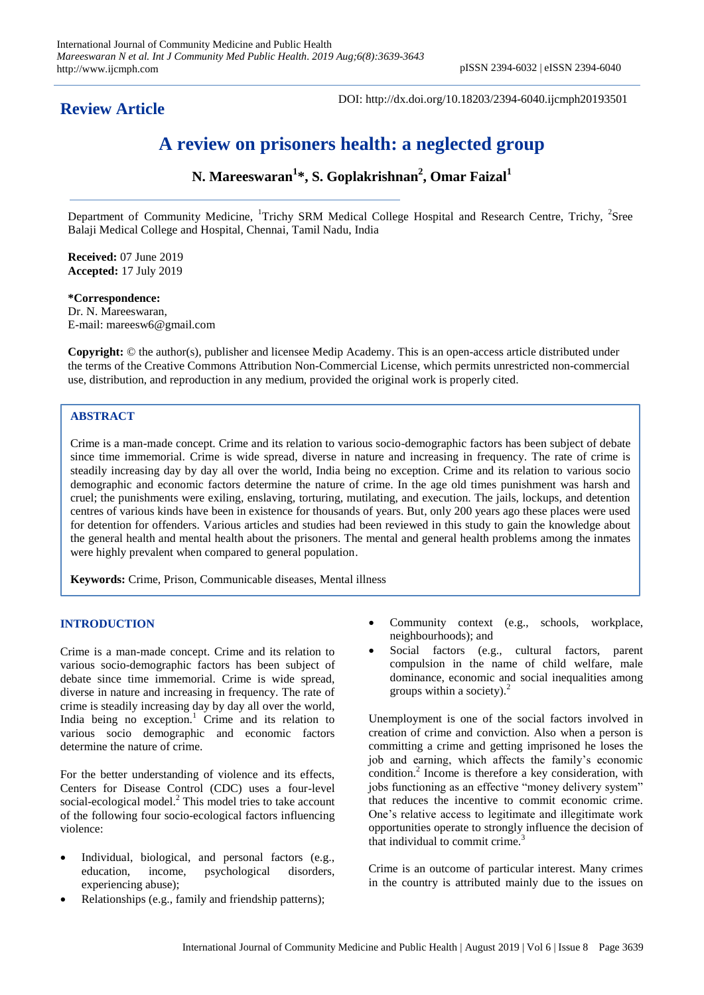**Review Article**

DOI: http://dx.doi.org/10.18203/2394-6040.ijcmph20193501

# **A review on prisoners health: a neglected group**

**N. Mareeswaran<sup>1</sup> \*, S. Goplakrishnan<sup>2</sup> , Omar Faizal<sup>1</sup>**

Department of Community Medicine, <sup>1</sup>Trichy SRM Medical College Hospital and Research Centre, Trichy, <sup>2</sup>Sree Balaji Medical College and Hospital, Chennai, Tamil Nadu, India

**Received:** 07 June 2019 **Accepted:** 17 July 2019

**\*Correspondence:** Dr. N. Mareeswaran, E-mail: mareesw6@gmail.com

**Copyright:** © the author(s), publisher and licensee Medip Academy. This is an open-access article distributed under the terms of the Creative Commons Attribution Non-Commercial License, which permits unrestricted non-commercial use, distribution, and reproduction in any medium, provided the original work is properly cited.

## **ABSTRACT**

Crime is a man-made concept. Crime and its relation to various socio-demographic factors has been subject of debate since time immemorial. Crime is wide spread, diverse in nature and increasing in frequency. The rate of crime is steadily increasing day by day all over the world, India being no exception. Crime and its relation to various socio demographic and economic factors determine the nature of crime. In the age old times punishment was harsh and cruel; the punishments were exiling, enslaving, torturing, mutilating, and execution. The jails, lockups, and detention centres of various kinds have been in existence for thousands of years. But, only 200 years ago these places were used for detention for offenders. Various articles and studies had been reviewed in this study to gain the knowledge about the general health and mental health about the prisoners. The mental and general health problems among the inmates were highly prevalent when compared to general population.

**Keywords:** Crime, Prison, Communicable diseases, Mental illness

## **INTRODUCTION**

Crime is a man-made concept. Crime and its relation to various socio-demographic factors has been subject of debate since time immemorial. Crime is wide spread, diverse in nature and increasing in frequency. The rate of crime is steadily increasing day by day all over the world, India being no exception.<sup>1</sup> Crime and its relation to various socio demographic and economic factors determine the nature of crime.

For the better understanding of violence and its effects, Centers for Disease Control (CDC) uses a four-level social-ecological model.<sup>2</sup> This model tries to take account of the following four socio-ecological factors influencing violence:

- Individual, biological, and personal factors (e.g., education, income, psychological disorders, experiencing abuse);
- Relationships (e.g., family and friendship patterns);
- Community context (e.g., schools, workplace, neighbourhoods); and
- Social factors (e.g., cultural factors, parent compulsion in the name of child welfare, male dominance, economic and social inequalities among groups within a society). $^{2}$

Unemployment is one of the social factors involved in creation of crime and conviction. Also when a person is committing a crime and getting imprisoned he loses the job and earning, which affects the family's economic condition.<sup>2</sup> Income is therefore a key consideration, with jobs functioning as an effective "money delivery system" that reduces the incentive to commit economic crime. One's relative access to legitimate and illegitimate work opportunities operate to strongly influence the decision of that individual to commit crime.<sup>3</sup>

Crime is an outcome of particular interest. Many crimes in the country is attributed mainly due to the issues on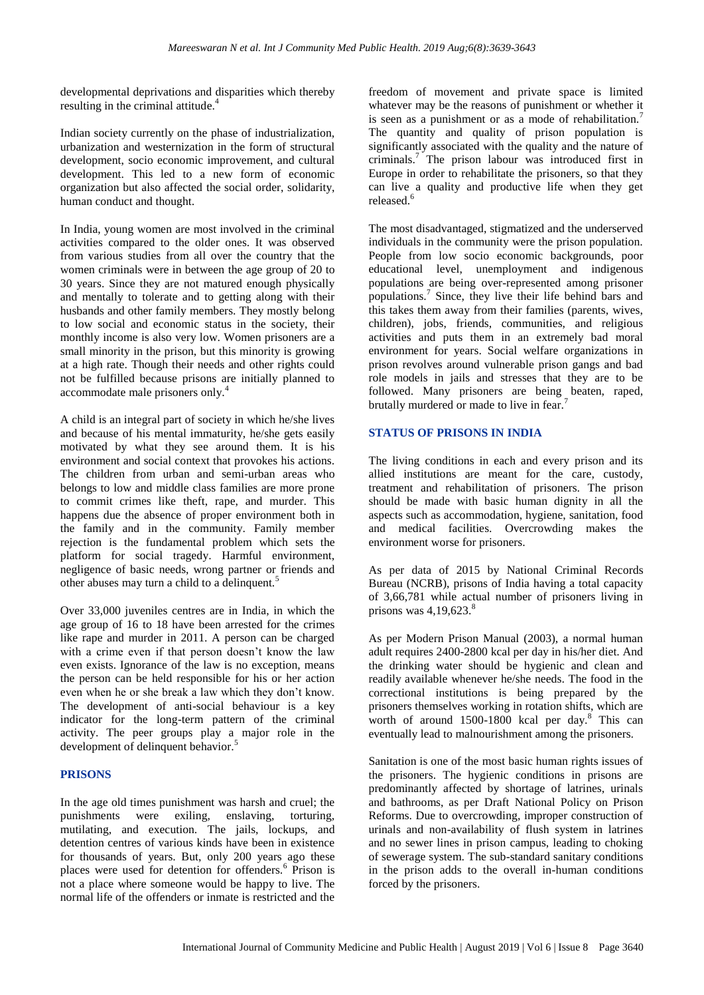developmental deprivations and disparities which thereby resulting in the criminal attitude.<sup>4</sup>

Indian society currently on the phase of industrialization, urbanization and westernization in the form of structural development, socio economic improvement, and cultural development. This led to a new form of economic organization but also affected the social order, solidarity, human conduct and thought.

In India, young women are most involved in the criminal activities compared to the older ones. It was observed from various studies from all over the country that the women criminals were in between the age group of 20 to 30 years. Since they are not matured enough physically and mentally to tolerate and to getting along with their husbands and other family members. They mostly belong to low social and economic status in the society, their monthly income is also very low. Women prisoners are a small minority in the prison, but this minority is growing at a high rate. Though their needs and other rights could not be fulfilled because prisons are initially planned to accommodate male prisoners only.<sup>4</sup>

A child is an integral part of society in which he/she lives and because of his mental immaturity, he/she gets easily motivated by what they see around them. It is his environment and social context that provokes his actions. The children from urban and semi-urban areas who belongs to low and middle class families are more prone to commit crimes like theft, rape, and murder. This happens due the absence of proper environment both in the family and in the community. Family member rejection is the fundamental problem which sets the platform for social tragedy. Harmful environment, negligence of basic needs, wrong partner or friends and other abuses may turn a child to a delinquent.<sup>5</sup>

Over 33,000 juveniles centres are in India, in which the age group of 16 to 18 have been arrested for the crimes like rape and murder in 2011. A person can be charged with a crime even if that person doesn't know the law even exists. Ignorance of the law is no exception, means the person can be held responsible for his or her action even when he or she break a law which they don't know. The development of anti-social behaviour is a key indicator for the long-term pattern of the criminal activity. The peer groups play a major role in the development of delinquent behavior.<sup>5</sup>

## **PRISONS**

In the age old times punishment was harsh and cruel; the punishments were exiling, enslaving, torturing, mutilating, and execution. The jails, lockups, and detention centres of various kinds have been in existence for thousands of years. But, only 200 years ago these places were used for detention for offenders.<sup>6</sup> Prison is not a place where someone would be happy to live. The normal life of the offenders or inmate is restricted and the

freedom of movement and private space is limited whatever may be the reasons of punishment or whether it is seen as a punishment or as a mode of rehabilitation.<sup>7</sup> The quantity and quality of prison population is significantly associated with the quality and the nature of criminals.<sup>7</sup> The prison labour was introduced first in Europe in order to rehabilitate the prisoners, so that they can live a quality and productive life when they get released.<sup>6</sup>

The most disadvantaged, stigmatized and the underserved individuals in the community were the prison population. People from low socio economic backgrounds, poor educational level, unemployment and indigenous populations are being over-represented among prisoner populations.<sup>7</sup> Since, they live their life behind bars and this takes them away from their families (parents, wives, children), jobs, friends, communities, and religious activities and puts them in an extremely bad moral environment for years. Social welfare organizations in prison revolves around vulnerable prison gangs and bad role models in jails and stresses that they are to be followed. Many prisoners are being beaten, raped, brutally murdered or made to live in fear.<sup>7</sup>

## **STATUS OF PRISONS IN INDIA**

The living conditions in each and every prison and its allied institutions are meant for the care, custody, treatment and rehabilitation of prisoners. The prison should be made with basic human dignity in all the aspects such as accommodation, hygiene, sanitation, food and medical facilities. Overcrowding makes the environment worse for prisoners.

As per data of 2015 by National Criminal Records Bureau (NCRB), prisons of India having a total capacity of 3,66,781 while actual number of prisoners living in prisons was  $4,19,623$ .<sup>8</sup>

As per Modern Prison Manual (2003), a normal human adult requires 2400-2800 kcal per day in his/her diet. And the drinking water should be hygienic and clean and readily available whenever he/she needs. The food in the correctional institutions is being prepared by the prisoners themselves working in rotation shifts, which are worth of around  $1500-1800$  kcal per day.<sup>8</sup> This can eventually lead to malnourishment among the prisoners.

Sanitation is one of the most basic human rights issues of the prisoners. The hygienic conditions in prisons are predominantly affected by shortage of latrines, urinals and bathrooms, as per Draft National Policy on Prison Reforms. Due to overcrowding, improper construction of urinals and non-availability of flush system in latrines and no sewer lines in prison campus, leading to choking of sewerage system. The sub-standard sanitary conditions in the prison adds to the overall in-human conditions forced by the prisoners.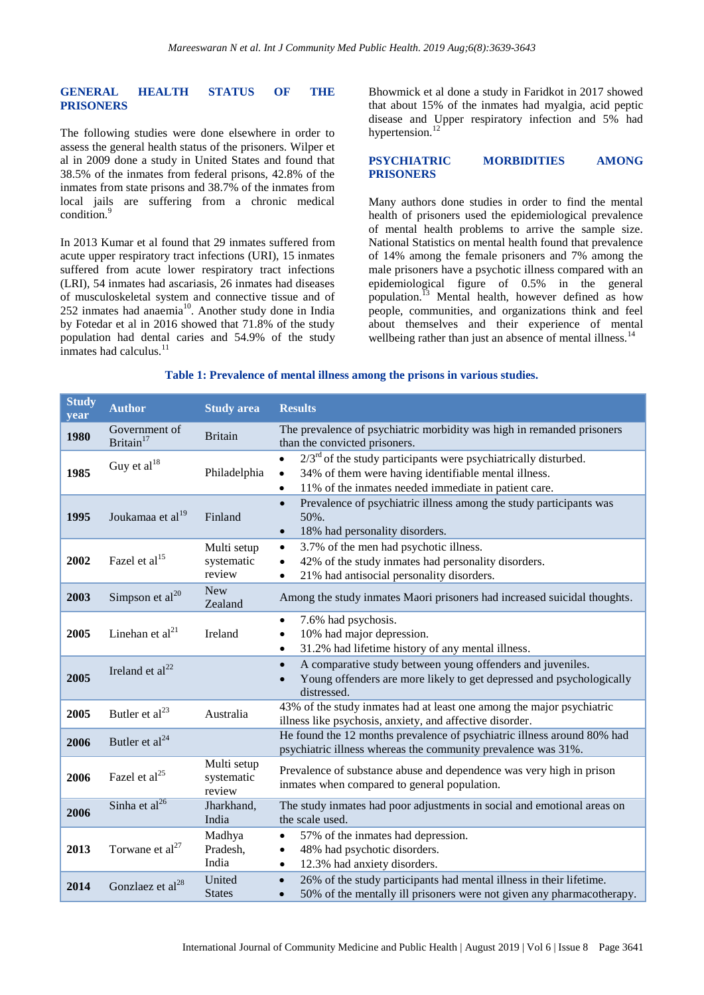## **GENERAL HEALTH STATUS OF THE PRISONERS**

The following studies were done elsewhere in order to assess the general health status of the prisoners. Wilper et al in 2009 done a study in United States and found that 38.5% of the inmates from federal prisons, 42.8% of the inmates from state prisons and 38.7% of the inmates from local jails are suffering from a chronic medical condition.<sup>9</sup>

In 2013 Kumar et al found that 29 inmates suffered from acute upper respiratory tract infections (URI), 15 inmates suffered from acute lower respiratory tract infections (LRI), 54 inmates had ascariasis, 26 inmates had diseases of musculoskeletal system and connective tissue and of  $252$  inmates had anaemia<sup>10</sup>. Another study done in India by Fotedar et al in 2016 showed that 71.8% of the study population had dental caries and 54.9% of the study inmates had calculus.<sup>11</sup>

Bhowmick et al done a study in Faridkot in 2017 showed that about 15% of the inmates had myalgia, acid peptic disease and Upper respiratory infection and 5% had hypertension.<sup>12</sup>

### **PSYCHIATRIC MORBIDITIES AMONG PRISONERS**

Many authors done studies in order to find the mental health of prisoners used the epidemiological prevalence of mental health problems to arrive the sample size. National Statistics on mental health found that prevalence of 14% among the female prisoners and 7% among the male prisoners have a psychotic illness compared with an epidemiological figure of 0.5% in the general population.<sup>13</sup> Mental health, however defined as how people, communities, and organizations think and feel about themselves and their experience of mental wellbeing rather than just an absence of mental illness.<sup>14</sup>

## **Table 1: Prevalence of mental illness among the prisons in various studies.**

| <b>Study</b><br>year | <b>Author</b>                          | <b>Study area</b>                   | <b>Results</b>                                                                                                                                                                                                              |
|----------------------|----------------------------------------|-------------------------------------|-----------------------------------------------------------------------------------------------------------------------------------------------------------------------------------------------------------------------------|
| 1980                 | Government of<br>Britain <sup>17</sup> | <b>Britain</b>                      | The prevalence of psychiatric morbidity was high in remanded prisoners<br>than the convicted prisoners.                                                                                                                     |
| 1985                 | Guy et $al^{18}$                       | Philadelphia                        | $2/3^{rd}$ of the study participants were psychiatrically disturbed.<br>$\bullet$<br>34% of them were having identifiable mental illness.<br>$\bullet$<br>11% of the inmates needed immediate in patient care.<br>$\bullet$ |
| 1995                 | Joukamaa et al <sup>19</sup>           | Finland                             | Prevalence of psychiatric illness among the study participants was<br>$\bullet$<br>50%.<br>18% had personality disorders.<br>$\bullet$                                                                                      |
| 2002                 | Fazel et al <sup>15</sup>              | Multi setup<br>systematic<br>review | 3.7% of the men had psychotic illness.<br>$\bullet$<br>42% of the study inmates had personality disorders.<br>$\bullet$<br>21% had antisocial personality disorders.<br>$\bullet$                                           |
| 2003                 | Simpson et al <sup>20</sup>            | <b>New</b><br>Zealand               | Among the study inmates Maori prisoners had increased suicidal thoughts.                                                                                                                                                    |
| 2005                 | Linehan et $al21$                      | Ireland                             | 7.6% had psychosis.<br>$\bullet$<br>10% had major depression.<br>31.2% had lifetime history of any mental illness.<br>$\bullet$                                                                                             |
| 2005                 | Ireland et $al^{22}$                   |                                     | A comparative study between young offenders and juveniles.<br>$\bullet$<br>Young offenders are more likely to get depressed and psychologically<br>distressed.                                                              |
| 2005                 | Butler et al <sup>23</sup>             | Australia                           | 43% of the study inmates had at least one among the major psychiatric<br>illness like psychosis, anxiety, and affective disorder.                                                                                           |
| 2006                 | Butler et al <sup>24</sup>             |                                     | He found the 12 months prevalence of psychiatric illness around 80% had<br>psychiatric illness whereas the community prevalence was 31%.                                                                                    |
| 2006                 | Fazel et al <sup>25</sup>              | Multi setup<br>systematic<br>review | Prevalence of substance abuse and dependence was very high in prison<br>inmates when compared to general population.                                                                                                        |
| 2006                 | Sinha et al <sup>26</sup>              | Jharkhand,<br>India                 | The study inmates had poor adjustments in social and emotional areas on<br>the scale used.                                                                                                                                  |
| 2013                 | Torwane et $al^{27}$                   | Madhya<br>Pradesh,<br>India         | 57% of the inmates had depression.<br>$\bullet$<br>48% had psychotic disorders.<br>$\bullet$<br>12.3% had anxiety disorders.                                                                                                |
| 2014                 | Gonzlaez et al <sup>28</sup>           | United<br><b>States</b>             | 26% of the study participants had mental illness in their lifetime.<br>$\bullet$<br>50% of the mentally ill prisoners were not given any pharmacotherapy.<br>$\bullet$                                                      |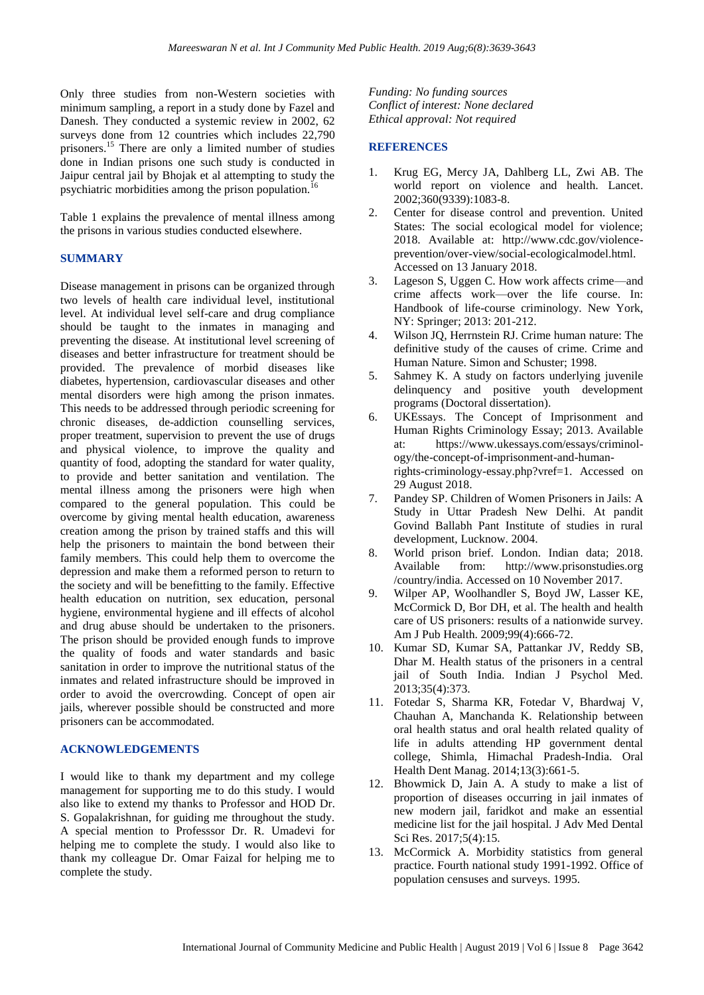Only three studies from non-Western societies with minimum sampling, a report in a study done by Fazel and Danesh. They conducted a systemic review in 2002, 62 surveys done from 12 countries which includes 22,790 prisoners.<sup>15</sup> There are only a limited number of studies done in Indian prisons one such study is conducted in Jaipur central jail by Bhojak et al attempting to study the psychiatric morbidities among the prison population.<sup>16</sup>

Table 1 explains the prevalence of mental illness among the prisons in various studies conducted elsewhere.

### **SUMMARY**

Disease management in prisons can be organized through two levels of health care individual level, institutional level. At individual level self-care and drug compliance should be taught to the inmates in managing and preventing the disease. At institutional level screening of diseases and better infrastructure for treatment should be provided. The prevalence of morbid diseases like diabetes, hypertension, cardiovascular diseases and other mental disorders were high among the prison inmates. This needs to be addressed through periodic screening for chronic diseases, de-addiction counselling services, proper treatment, supervision to prevent the use of drugs and physical violence, to improve the quality and quantity of food, adopting the standard for water quality, to provide and better sanitation and ventilation. The mental illness among the prisoners were high when compared to the general population. This could be overcome by giving mental health education, awareness creation among the prison by trained staffs and this will help the prisoners to maintain the bond between their family members. This could help them to overcome the depression and make them a reformed person to return to the society and will be benefitting to the family. Effective health education on nutrition, sex education, personal hygiene, environmental hygiene and ill effects of alcohol and drug abuse should be undertaken to the prisoners. The prison should be provided enough funds to improve the quality of foods and water standards and basic sanitation in order to improve the nutritional status of the inmates and related infrastructure should be improved in order to avoid the overcrowding. Concept of open air jails, wherever possible should be constructed and more prisoners can be accommodated.

### **ACKNOWLEDGEMENTS**

I would like to thank my department and my college management for supporting me to do this study. I would also like to extend my thanks to Professor and HOD Dr. S. Gopalakrishnan, for guiding me throughout the study. A special mention to Professsor Dr. R. Umadevi for helping me to complete the study. I would also like to thank my colleague Dr. Omar Faizal for helping me to complete the study.

*Funding: No funding sources Conflict of interest: None declared Ethical approval: Not required*

#### **REFERENCES**

- 1. Krug EG, Mercy JA, Dahlberg LL, Zwi AB. The world report on violence and health. Lancet. 2002;360(9339):1083-8.
- 2. Center for disease control and prevention. United States: The social ecological model for violence; 2018. Available at: http://www.cdc.gov/violenceprevention/over-view/social-ecologicalmodel.html. Accessed on 13 January 2018.
- 3. Lageson S, Uggen C. How work affects crime—and crime affects work—over the life course. In: Handbook of life-course criminology. New York, NY: Springer; 2013: 201-212.
- 4. Wilson JQ, Herrnstein RJ. Crime human nature: The definitive study of the causes of crime. Crime and Human Nature. Simon and Schuster; 1998.
- 5. Sahmey K. A study on factors underlying juvenile delinquency and positive youth development programs (Doctoral dissertation).
- 6. UKEssays. The Concept of Imprisonment and Human Rights Criminology Essay; 2013. Available at: https://www.ukessays.com/essays/criminology/the-concept-of-imprisonment-and-humanrights-criminology-essay.php?vref=1. Accessed on 29 August 2018.
- 7. Pandey SP. Children of Women Prisoners in Jails: A Study in Uttar Pradesh New Delhi. At pandit Govind Ballabh Pant Institute of studies in rural development, Lucknow. 2004.
- 8. World prison brief. London. Indian data; 2018. Available from: http://www.prisonstudies.org /country/india. Accessed on 10 November 2017.
- 9. Wilper AP, Woolhandler S, Boyd JW, Lasser KE, McCormick D, Bor DH, et al. The health and health care of US prisoners: results of a nationwide survey. Am J Pub Health. 2009;99(4):666-72.
- 10. Kumar SD, Kumar SA, Pattankar JV, Reddy SB, Dhar M. Health status of the prisoners in a central jail of South India. Indian J Psychol Med. 2013;35(4):373.
- 11. Fotedar S, Sharma KR, Fotedar V, Bhardwaj V, Chauhan A, Manchanda K. Relationship between oral health status and oral health related quality of life in adults attending HP government dental college, Shimla, Himachal Pradesh-India. Oral Health Dent Manag. 2014;13(3):661-5.
- 12. Bhowmick D, Jain A. A study to make a list of proportion of diseases occurring in jail inmates of new modern jail, faridkot and make an essential medicine list for the jail hospital. J Adv Med Dental Sci Res. 2017;5(4):15.
- 13. McCormick A. Morbidity statistics from general practice. Fourth national study 1991-1992. Office of population censuses and surveys. 1995.